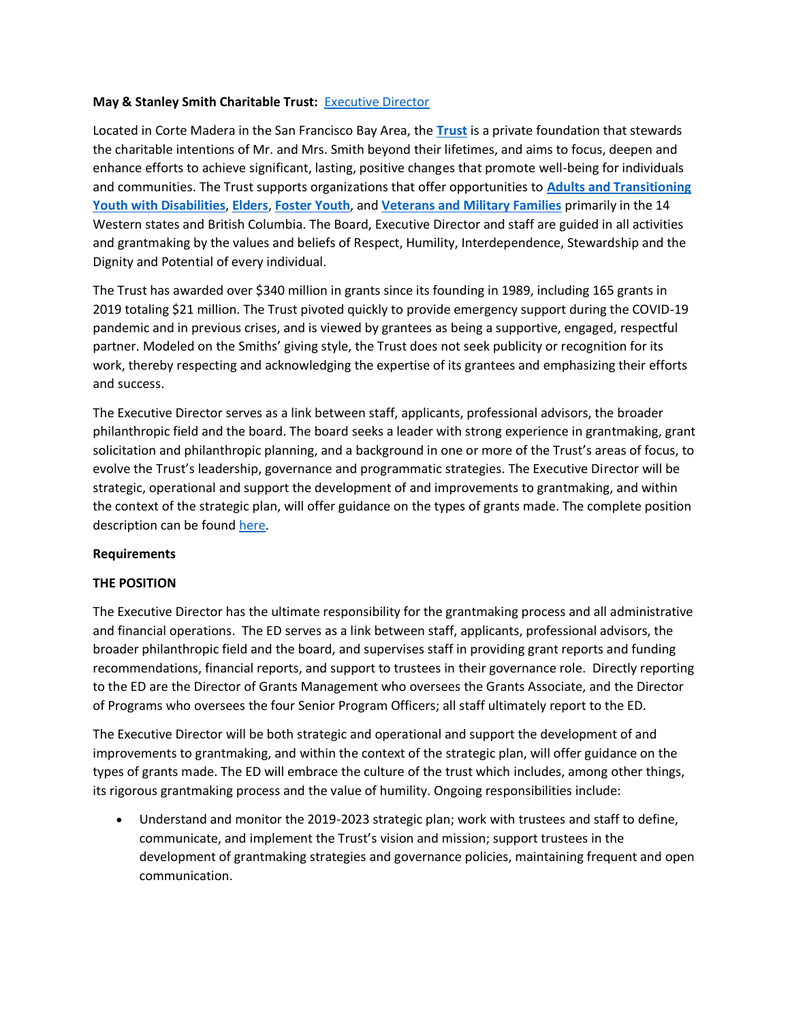# **May & Stanley Smith Charitable Trust:** [Executive Director](https://www.moppenheim.com/wp-content/uploads/MSSCT-CEO-Position-Description-Final.pdf)

Located in Corte Madera in the San Francisco Bay Area, the **[Trust](https://smithct.org/)** is a private foundation that stewards the charitable intentions of Mr. and Mrs. Smith beyond their lifetimes, and aims to focus, deepen and enhance efforts to achieve significant, lasting, positive changes that promote well-being for individuals and communities. The Trust supports organizations that offer opportunities to **[Adults and Transitioning](https://smithct.org/funding-priorities/adults-and-transitioning-youth-with-disabilities)  [Youth with Disabilities](https://smithct.org/funding-priorities/adults-and-transitioning-youth-with-disabilities)**, **[Elders](https://smithct.org/funding-priorities/elders)**, **[Foster Youth](https://smithct.org/funding-priorities/foster-youth)**, and **[Veterans and Military Families](https://smithct.org/funding-priorities/veterans-and-military-families)** primarily in the 14 Western states and British Columbia. The Board, Executive Director and staff are guided in all activities and grantmaking by the values and beliefs of Respect, Humility, Interdependence, Stewardship and the Dignity and Potential of every individual.

The Trust has awarded over \$340 million in grants since its founding in 1989, including 165 grants in 2019 totaling \$21 million. The Trust pivoted quickly to provide emergency support during the COVID-19 pandemic and in previous crises, and is viewed by grantees as being a supportive, engaged, respectful partner. Modeled on the Smiths' giving style, the Trust does not seek publicity or recognition for its work, thereby respecting and acknowledging the expertise of its grantees and emphasizing their efforts and success.

The Executive Director serves as a link between staff, applicants, professional advisors, the broader philanthropic field and the board. The board seeks a leader with strong experience in grantmaking, grant solicitation and philanthropic planning, and a background in one or more of the Trust's areas of focus, to evolve the Trust's leadership, governance and programmatic strategies. The Executive Director will be strategic, operational and support the development of and improvements to grantmaking, and within the context of the strategic plan, will offer guidance on the types of grants made. The complete position description can be found [here.](https://www.moppenheim.com/wp-content/uploads/MSSCT-CEO-Position-Description-Final.pdf)

# **Requirements**

# **THE POSITION**

The Executive Director has the ultimate responsibility for the grantmaking process and all administrative and financial operations. The ED serves as a link between staff, applicants, professional advisors, the broader philanthropic field and the board, and supervises staff in providing grant reports and funding recommendations, financial reports, and support to trustees in their governance role. Directly reporting to the ED are the Director of Grants Management who oversees the Grants Associate, and the Director of Programs who oversees the four Senior Program Officers; all staff ultimately report to the ED.

The Executive Director will be both strategic and operational and support the development of and improvements to grantmaking, and within the context of the strategic plan, will offer guidance on the types of grants made. The ED will embrace the culture of the trust which includes, among other things, its rigorous grantmaking process and the value of humility. Ongoing responsibilities include:

• Understand and monitor the 2019-2023 strategic plan; work with trustees and staff to define, communicate, and implement the Trust's vision and mission; support trustees in the development of grantmaking strategies and governance policies, maintaining frequent and open communication.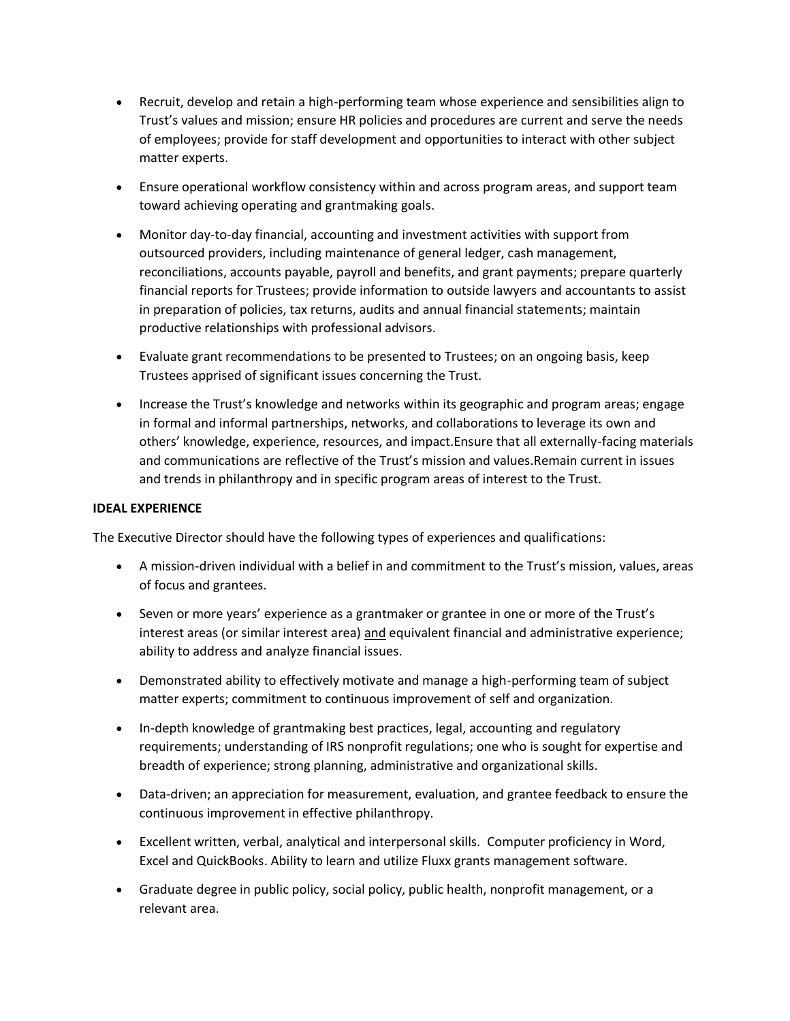- Recruit, develop and retain a high-performing team whose experience and sensibilities align to Trust's values and mission; ensure HR policies and procedures are current and serve the needs of employees; provide for staff development and opportunities to interact with other subject matter experts.
- Ensure operational workflow consistency within and across program areas, and support team toward achieving operating and grantmaking goals.
- Monitor day-to-day financial, accounting and investment activities with support from outsourced providers, including maintenance of general ledger, cash management, reconciliations, accounts payable, payroll and benefits, and grant payments; prepare quarterly financial reports for Trustees; provide information to outside lawyers and accountants to assist in preparation of policies, tax returns, audits and annual financial statements; maintain productive relationships with professional advisors.
- Evaluate grant recommendations to be presented to Trustees; on an ongoing basis, keep Trustees apprised of significant issues concerning the Trust.
- Increase the Trust's knowledge and networks within its geographic and program areas; engage in formal and informal partnerships, networks, and collaborations to leverage its own and others' knowledge, experience, resources, and impact.Ensure that all externally-facing materials and communications are reflective of the Trust's mission and values.Remain current in issues and trends in philanthropy and in specific program areas of interest to the Trust.

#### **IDEAL EXPERIENCE**

The Executive Director should have the following types of experiences and qualifications:

- A mission-driven individual with a belief in and commitment to the Trust's mission, values, areas of focus and grantees.
- Seven or more years' experience as a grantmaker or grantee in one or more of the Trust's interest areas (or similar interest area) and equivalent financial and administrative experience; ability to address and analyze financial issues.
- Demonstrated ability to effectively motivate and manage a high-performing team of subject matter experts; commitment to continuous improvement of self and organization.
- In-depth knowledge of grantmaking best practices, legal, accounting and regulatory requirements; understanding of IRS nonprofit regulations; one who is sought for expertise and breadth of experience; strong planning, administrative and organizational skills.
- Data-driven; an appreciation for measurement, evaluation, and grantee feedback to ensure the continuous improvement in effective philanthropy.
- Excellent written, verbal, analytical and interpersonal skills. Computer proficiency in Word, Excel and QuickBooks. Ability to learn and utilize Fluxx grants management software.
- Graduate degree in public policy, social policy, public health, nonprofit management, or a relevant area.